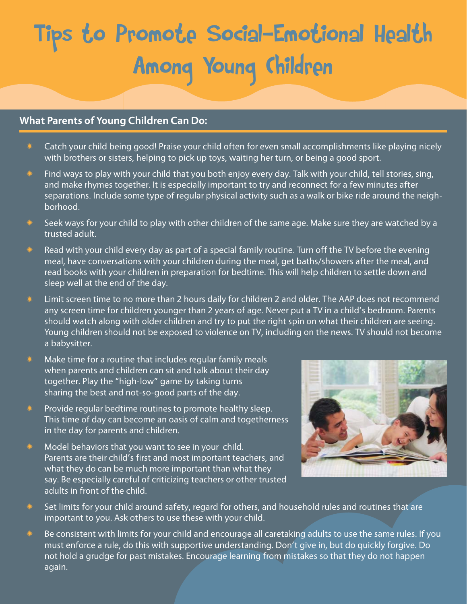# Tips to Promote Social-Emotional Health Among Young Children

### **What Parents of Young Children Can Do:**

- Catch your child being good! Praise your child often for even small accomplishments like playing nicely with brothers or sisters, helping to pick up toys, waiting her turn, or being a good sport.
- Find ways to play with your child that you both enjoy every day. Talk with your child, tell stories, sing, and make rhymes together. It is especially important to try and reconnect for a few minutes after separations. Include some type of regular physical activity such as a walk or bike ride around the neighborhood.
- Seek ways for your child to play with other children of the same age. Make sure they are watched by a trusted adult.
- Read with your child every day as part of a special family routine. Turn off the TV before the evening meal, have conversations with your children during the meal, get baths/showers after the meal, and read books with your children in preparation for bedtime. This will help children to settle down and sleep well at the end of the day.
- \* Limit screen time to no more than 2 hours daily for children 2 and older. The AAP does not recommend any screen time for children younger than 2 years of age. Never put a TV in a child's bedroom. Parents should watch along with older children and try to put the right spin on what their children are seeing. Young children should not be exposed to violence on TV, including on the news. TV should not become a babysitter.
- $*$  Make time for a routine that includes regular family meals when parents and children can sit and talk about their day together. Play the "high-low" game by taking turns sharing the best and not-so-good parts of the day.
- Provide regular bedtime routines to promote healthy sleep. This time of day can become an oasis of calm and togetherness in the day for parents and children.
- Model behaviors that you want to see in your child. Parents are their child's first and most important teachers, and what they do can be much more important than what they say. Be especially careful of criticizing teachers or other trusted adults in front of the child.



- $*$  Set limits for your child around safety, regard for others, and household rules and routines that are important to you. Ask others to use these with your child.
- Be consistent with limits for your child and encourage all caretaking adults to use the same rules. If you must enforce a rule, do this with supportive understanding. Don't give in, but do quickly forgive. Do not hold a grudge for past mistakes. Encourage learning from mistakes so that they do not happen again.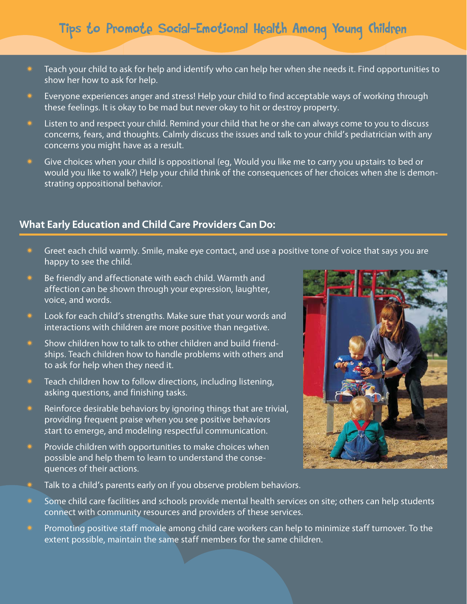# Tips to Promote Social-Emotional Health Among Young Children

- $*$  Teach your child to ask for help and identify who can help her when she needs it. Find opportunities to show her how to ask for help.
- Everyone experiences anger and stress! Help your child to find acceptable ways of working through these feelings. It is okay to be mad but never okay to hit or destroy property.
- Listen to and respect your child. Remind your child that he or she can always come to you to discuss concerns, fears, and thoughts. Calmly discuss the issues and talk to your child's pediatrician with any concerns you might have as a result.
- $*$  Give choices when your child is oppositional (eg, Would you like me to carry you upstairs to bed or would you like to walk?) Help your child think of the consequences of her choices when she is demonstrating oppositional behavior.

#### **What Early Education and Child Care Providers Can Do:**

- $*$  Greet each child warmly. Smile, make eye contact, and use a positive tone of voice that says you are happy to see the child.
- Be friendly and affectionate with each child. Warmth and affection can be shown through your expression, laughter, voice, and words.
- \* Look for each child's strengths. Make sure that your words and interactions with children are more positive than negative.
- \* Show children how to talk to other children and build friendships. Teach children how to handle problems with others and to ask for help when they need it.
- Teach children how to follow directions, including listening, asking questions, and finishing tasks.
- Reinforce desirable behaviors by ignoring things that are trivial, providing frequent praise when you see positive behaviors start to emerge, and modeling respectful communication.
- Provide children with opportunities to make choices when possible and help them to learn to understand the consequences of their actions.



- Talk to a child's parents early on if you observe problem behaviors.
- Some child care facilities and schools provide mental health services on site; others can help students connect with community resources and providers of these services.
- Promoting positive staff morale among child care workers can help to minimize staff turnover. To the extent possible, maintain the same staff members for the same children.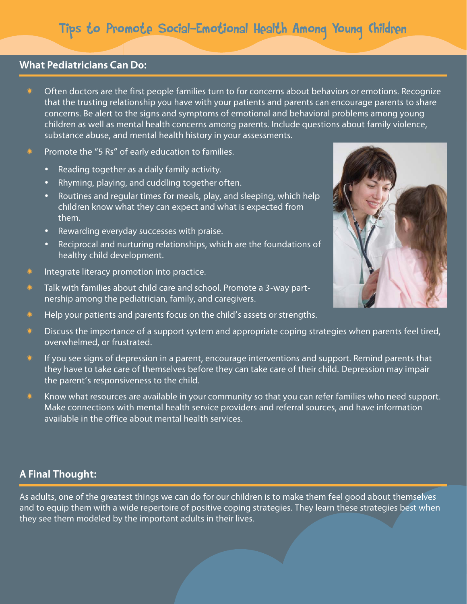#### **What Pediatricians Can Do:**

- Often doctors are the first people families turn to for concerns about behaviors or emotions. Recognize that the trusting relationship you have with your patients and parents can encourage parents to share concerns. Be alert to the signs and symptoms of emotional and behavioral problems among young children as well as mental health concerns among parents. Include questions about family violence, substance abuse, and mental health history in your assessments.
- $*$  Promote the "5 Rs" of early education to families.
	- Reading together as a daily family activity.
	- Rhyming, playing, and cuddling together often.
	- Routines and regular times for meals, play, and sleeping, which help children know what they can expect and what is expected from them.
	- Rewarding everyday successes with praise.
	- Reciprocal and nurturing relationships, which are the foundations of healthy child development.
- Integrate literacy promotion into practice.
- Talk with families about child care and school. Promote a 3-way partnership among the pediatrician, family, and caregivers.
- Help your patients and parents focus on the child's assets or strengths.
- Discuss the importance of a support system and appropriate coping strategies when parents feel tired, overwhelmed, or frustrated.
- If you see signs of depression in a parent, encourage interventions and support. Remind parents that they have to take care of themselves before they can take care of their child. Depression may impair the parent's responsiveness to the child.
- Know what resources are available in your community so that you can refer families who need support. Make connections with mental health service providers and referral sources, and have information available in the office about mental health services.

## **A Final Thought:**

As adults, one of the greatest things we can do for our children is to make them feel good about themselves and to equip them with a wide repertoire of positive coping strategies. They learn these strategies best when they see them modeled by the important adults in their lives.